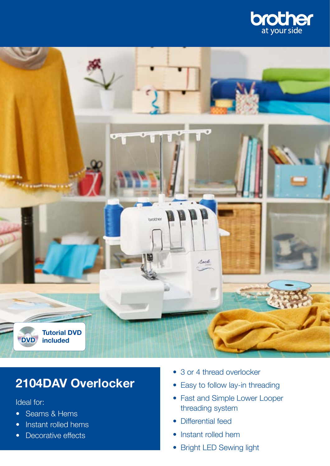



## **2104DAV Overlocker**

Ideal for:

- Seams & Hems
- Instant rolled hems
- Decorative effects
- 3 or 4 thread overlocker
- Easy to follow lay-in threading
- Fast and Simple Lower Looper threading system
- Differential feed
- Instant rolled hem
- Bright LED Sewing light